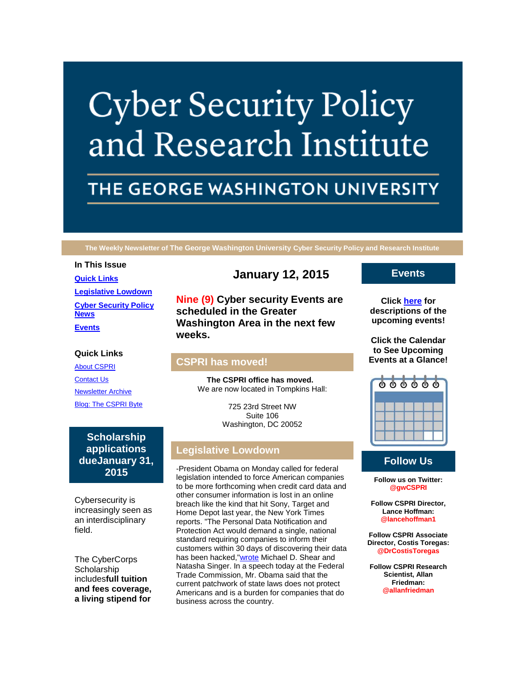# **Cyber Security Policy** and Research Institute

# THE GEORGE WASHINGTON UNIVERSITY

**The Weekly Newsletter of The George Washington University Cyber Security Policy and Research Institute**

# **In This Issue [Quick Links](https://mail.google.com/mail/u/0/#14adfabc49b6864b_LETTER.BLOCK5) [Legislative Lowdown](https://mail.google.com/mail/u/0/#14adfabc49b6864b_LETTER.BLOCK30) [Cyber Security Policy](https://mail.google.com/mail/u/0/#14adfabc49b6864b_LETTER.BLOCK44)  [News](https://mail.google.com/mail/u/0/#14adfabc49b6864b_LETTER.BLOCK44) [Events](https://mail.google.com/mail/u/0/#14adfabc49b6864b_LETTER.BLOCK34)**

#### **Quick Links**

[About CSPRI](http://r20.rs6.net/tn.jsp?f=001ppj647aabBP_O-GL0G2QVHbXQZEayxKe15K68zL2jmWfS5WtcG2d78tJDtXRRGcWobFBViRmTl0snJXXg47a7B9MmdpNphIMeelKloeBOcZmrO11WNSrcOMl5PL4PcueWBgUoiUymPMnXrzSWeMJzcU0DuhKSPgV0EMLL-p3H6x7xQ61BgPuDRyzOoojHf6-&c=&ch=) **[Contact Us](http://r20.rs6.net/tn.jsp?f=001ppj647aabBP_O-GL0G2QVHbXQZEayxKe15K68zL2jmWfS5WtcG2d78tJDtXRRGcWzlAoYy8TbxW2x0h5vi3b4ffyM6HfQRdNQrWPz16SbEvREFWfovpw9XVrYsr-U_d4MlpxZ_96K1dVRSMCAfA7avMYx1Q8YyFDn2iC3kkt6Fk1SnSx2EvWz683hskNULB3NHqgRpWiJ_I=&c=&ch=)** [Newsletter Archive](http://r20.rs6.net/tn.jsp?f=001ppj647aabBP_O-GL0G2QVHbXQZEayxKe15K68zL2jmWfS5WtcG2d78tJDtXRRGcWO-dR1y4XntHOjWn9-3xE6D3oFy41bTKhz-Ck0pFNnPSUPAT-wSRxTVYjMFLF66bQqNq3wi1USL0Xu8Yi0Sfo4X0fstAG8RiH0Sik4tLGoEDcFw1o_x6TgEyCo7AyZKB8XwOMgpbilQw=&c=&ch=) [Blog: The CSPRI Byte](http://r20.rs6.net/tn.jsp?f=001ppj647aabBP_O-GL0G2QVHbXQZEayxKe15K68zL2jmWfS5WtcG2d78tJDtXRRGcWcsbeSEgjanhc2lVoX9TgZPI-HPXByNRjEWmdGMJ3miObpVWOUVYhtXOs1nqmhVrbUC4pZP9JhfYR7jeed4845Yt2vvRRjz8k_bJ0YtghAUVvlG2MT8gzfJvGD6ageN1s&c=&ch=)

**Scholarship applications dueJanuary 31, 2015**

Cybersecurity is increasingly seen as an interdisciplinary field.

The CyberCorps **Scholarship** includes**full tuition and fees coverage, a living stipend for** 

# **January 12, 2015**

**Nine (9) Cyber security Events are scheduled in the Greater Washington Area in the next few weeks.**

#### **CSPRI has moved!**

**The CSPRI office has moved.**  We are now located in Tompkins Hall:

> 725 23rd Street NW Suite 106 Washington, DC 20052

# **Legislative Lowdown**

-President Obama on Monday called for federal legislation intended to force American companies to be more forthcoming when credit card data and other consumer information is lost in an online breach like the kind that hit Sony, Target and Home Depot last year, the New York Times reports. "The Personal Data Notification and Protection Act would demand a single, national standard requiring companies to inform their customers within 30 days of discovering their data has been hacked,["wrote](http://r20.rs6.net/tn.jsp?f=001ppj647aabBP_O-GL0G2QVHbXQZEayxKe15K68zL2jmWfS5WtcG2d728tt7RbF3aKnUpY8E6MvbcptGvlNQMFdgRuvmWz1KlgSM7RHSYl2eg25I3p5SfvwfHO84XJ4bVAlmzRn8HR6XPfHtisI7kpD26Bs712134lf02ZU1mdCGGLetWTVofi5SlabBh75wUQ0tBgmJPykIeeMVYP_zxt-IMxBd-WpVvEF0Oaw69OWvd9igqBKsQ3Es-4dr8d251RRIVN0tSOi5A9Gb6UnzqmwpNDQW7qQrANkXEUBy1rCkiAp934yOzKCjeLwi1WcpEL8Mln0zIVwwA=&c=&ch=) Michael D. Shear and Natasha Singer. In a speech today at the Federal Trade Commission, Mr. Obama said that the current patchwork of state laws does not protect Americans and is a burden for companies that do business across the country.

### **Events**

**Click [here](http://r20.rs6.net/tn.jsp?f=001ppj647aabBP_O-GL0G2QVHbXQZEayxKe15K68zL2jmWfS5WtcG2d78tJDtXRRGcWc4_gSWVpl0QECuUFk4ZNEcQuQy26Qloia3HP-Gt-XWa5cAPiFRrgmznnYyA6Y6BykCCkl4hYuQo5Q-qEpqLQ0gzVA4LgMmF2RcE7vJMk7je-FnjAsUz9OM613EYjP9hsIZQnt-5A1UM0tK5Vzml50A==&c=&ch=) for descriptions of the upcoming events!**

**Click the Calendar to See Upcoming Events at a Glance!**



# **Follow Us**

**Follow us on Twitter: @gwCSPRI**

**Follow CSPRI Director, Lance Hoffman: @lancehoffman1**

**Follow CSPRI Associate Director, Costis Toregas: @DrCostisToregas**

**Follow CSPRI Research Scientist, Allan Friedman: @allanfriedman**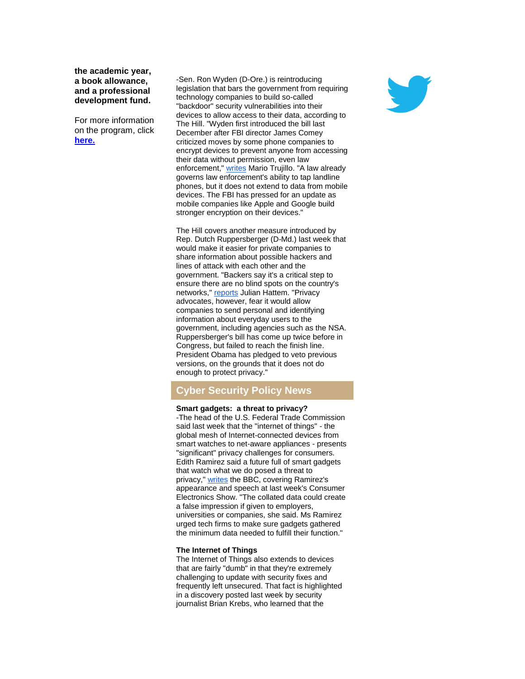**the academic year, a book allowance, and a professional development fund.**

For more information on the program, click **[here.](http://r20.rs6.net/tn.jsp?f=001ppj647aabBP_O-GL0G2QVHbXQZEayxKe15K68zL2jmWfS5WtcG2d75sahhO4FoC484OD71AIcVel2Jzdh_kqE9tENjPyLLraIQsOMBepT8MybZ4euvDGhTcrtrcZH8kgoLEkg-N4HGpHrRr6BC8UGVlLOYIk-QYh853c-S9qXNUkIYRaaT5fdu6WGaNeP9ob&c=&ch=)**

-Sen. Ron Wyden (D-Ore.) is reintroducing legislation that bars the government from requiring technology companies to build so-called "backdoor" security vulnerabilities into their devices to allow access to their data, according to The Hill. "Wyden first introduced the bill last December after FBI director James Comey criticized moves by some phone companies to encrypt devices to prevent anyone from accessing their data without permission, even law enforcement," [writes](http://r20.rs6.net/tn.jsp?f=001ppj647aabBP_O-GL0G2QVHbXQZEayxKe15K68zL2jmWfS5WtcG2d728tt7RbF3aK5rJ6ebx4nDYLKFdjS1xfiV3DoghReVYz8j2wfcJOCblfwj-Qi3JYY7S1FFKPdt4Id8Fp-ujOXTgrjhA9UaA21y0c08dP8sMrCI5DBozNdY52cxK8CLhtlhoJw2En2DB_LS4X8x5XPaeIYhl_NG8E6ZPQ-xpu9Z-p2YgGLgsIVpJc00yT-uMudCrbtAxE-ttrrhmWrvu8bkU85lqKXtMQgBkW2t4jfPPp&c=&ch=) Mario Trujillo. "A law already governs law enforcement's ability to tap landline phones, but it does not extend to data from mobile devices. The FBI has pressed for an update as mobile companies like Apple and Google build stronger encryption on their devices."

The Hill covers another measure introduced by Rep. Dutch Ruppersberger (D-Md.) last week that would make it easier for private companies to share information about possible hackers and lines of attack with each other and the government. "Backers say it's a critical step to ensure there are no blind spots on the country's networks," [reports](http://r20.rs6.net/tn.jsp?f=001ppj647aabBP_O-GL0G2QVHbXQZEayxKe15K68zL2jmWfS5WtcG2d728tt7RbF3aK1yBJCc85S7YfJHWRq-Vs2RRXGA0zXcKEQ9k3GMoUlEsM_b8bDm-elDHH7XVQnNstrQCrNmEK0Cm_FhxrOdmqSH6-MNM3kuvxCjoKr9NAcA65E_JDhhz85psJpHeetx3bF61BCiUENF1puZPMf9k7cP01Meu-JV9z89vvmnyOf-cBUFU7eytVVyhfY1l9DHzFak18ENIEtfo=&c=&ch=) Julian Hattem. "Privacy advocates, however, fear it would allow companies to send personal and identifying information about everyday users to the government, including agencies such as the NSA. Ruppersberger's bill has come up twice before in Congress, but failed to reach the finish line. President Obama has pledged to veto previous versions, on the grounds that it does not do enough to protect privacy."

#### **Cyber Security Policy News**

#### **Smart gadgets: a threat to privacy?**

-The head of the U.S. Federal Trade Commission said last week that the "internet of things" - the global mesh of Internet-connected devices from smart watches to net-aware appliances - presents "significant" privacy challenges for consumers. Edith Ramirez said a future full of smart gadgets that watch what we do posed a threat to privacy," [writes](http://r20.rs6.net/tn.jsp?f=001ppj647aabBP_O-GL0G2QVHbXQZEayxKe15K68zL2jmWfS5WtcG2d728tt7RbF3aKF79eYDRcVKm7WwWgKtqZt-7GulLGK1RI_zMTODlmr70KfN7fa3pfCkuZdTKGOWKSUsxh3l4T49c8gXf485hU6rSQxVv5a7r22i_Z2_a7rZNSQUpTsp4ybBpT8Va3u2Sn2IYRmQ6_HRc=&c=&ch=) the BBC, covering Ramirez's appearance and speech at last week's Consumer Electronics Show. "The collated data could create a false impression if given to employers, universities or companies, she said. Ms Ramirez urged tech firms to make sure gadgets gathered the minimum data needed to fulfill their function."

#### **The Internet of Things**

The Internet of Things also extends to devices that are fairly "dumb" in that they're extremely challenging to update with security fixes and frequently left unsecured. That fact is highlighted in a discovery posted last week by security journalist Brian Krebs, who learned that the

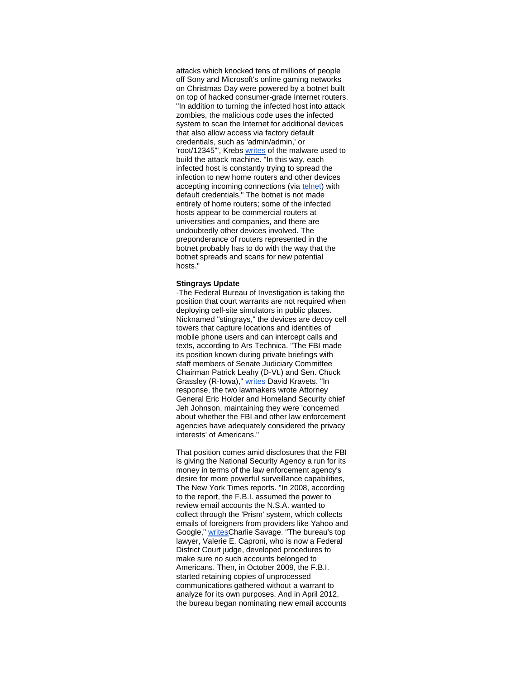attacks which knocked tens of millions of people off Sony and Microsoft's online gaming networks on Christmas Day were powered by a botnet built on top of hacked consumer-grade Internet routers. "In addition to turning the infected host into attack zombies, the malicious code uses the infected system to scan the Internet for additional devices that also allow access via factory default credentials, such as 'admin/admin,' or 'root/12345'", Krebs [writes](http://r20.rs6.net/tn.jsp?f=001ppj647aabBP_O-GL0G2QVHbXQZEayxKe15K68zL2jmWfS5WtcG2d728tt7RbF3aKQ1IuNWcgaWJIloaT-SoT6jYOwVj42mRvD_l6dP1xe8RMrDmWH-vwTQDJ_NeUtoKHePAmYLl8z1DOfJTJV9dtdU7vC5j3gRGEIFCrFwWOWiwipAG2wflxfpAxvl9RvBXVBVL6KOh8TXpxvZSb7CIgrq_Q4-J0J3EhWyUjosDJi1vLWSNDgu7A2knQENFmceDP&c=&ch=) of the malware used to build the attack machine. "In this way, each infected host is constantly trying to spread the infection to new home routers and other devices accepting incoming connections (via [telnet\)](http://r20.rs6.net/tn.jsp?f=001ppj647aabBP_O-GL0G2QVHbXQZEayxKe15K68zL2jmWfS5WtcG2d728tt7RbF3aK3jTEpHhfvXfgeSET1FmobyKyBSuZO6xhZjk0DzGnG4I-TX3c1G4cMZpUF4bHYHyBOGlriFiMyV2dy1Au15YNZ09p_OAvrW8f1pUFq6FLUqVHMYLXiIWF4MaR8e7wb9d-&c=&ch=) with default credentials," The botnet is not made entirely of home routers; some of the infected hosts appear to be commercial routers at universities and companies, and there are undoubtedly other devices involved. The preponderance of routers represented in the botnet probably has to do with the way that the botnet spreads and scans for new potential hosts."

#### **Stingrays Update**

-The Federal Bureau of Investigation is taking the position that court warrants are not required when deploying cell-site simulators in public places. Nicknamed "stingrays," the devices are decoy cell towers that capture locations and identities of mobile phone users and can intercept calls and texts, according to Ars Technica. "The FBI made its position known during private briefings with staff members of Senate Judiciary Committee Chairman Patrick Leahy (D-Vt.) and Sen. Chuck Grassley (R-Iowa)," [writes](http://r20.rs6.net/tn.jsp?f=001ppj647aabBP_O-GL0G2QVHbXQZEayxKe15K68zL2jmWfS5WtcG2d728tt7RbF3aKM3DfboEjkVzB-DGoU8VBv6RQSQUZOvCuna_hpf3HyQlIjsE03iBPUamk580DtiHrX9E62aCkOVEZVFIVOnZf9CitA9eCNpybBxsX2HbTv3meQWdJCiy7NivhsTZTpJwUhSCFqB26PNsg2vgM35QZkTsXf2cFnTlZhd0E_g18SoZoveU4COCdeCHySc1LidobXkEHrPoDJA4UJNy2nRRc8UMQ-vrBn4AV1JJUlc7wYVIrnzRsU7lG-w==&c=&ch=) David Kravets. "In response, the two lawmakers wrote Attorney General Eric Holder and Homeland Security chief Jeh Johnson, maintaining they were 'concerned about whether the FBI and other law enforcement agencies have adequately considered the privacy interests' of Americans."

That position comes amid disclosures that the FBI is giving the National Security Agency a run for its money in terms of the law enforcement agency's desire for more powerful surveillance capabilities, The New York Times reports. "In 2008, according to the report, the F.B.I. assumed the power to review email accounts the N.S.A. wanted to collect through the 'Prism' system, which collects emails of foreigners from providers like Yahoo and Google," [writesC](http://r20.rs6.net/tn.jsp?f=001ppj647aabBP_O-GL0G2QVHbXQZEayxKe15K68zL2jmWfS5WtcG2d728tt7RbF3aK6tiPrvdgQsmtgEbtJi9Z9gD7JwA_GIq-y4vT7L6ae9Ay7abdMyZvHfGIVQRqPKgildrzmnxoMEu4fOiua27tW9F_e5dcxsGF4pg7HnlSCwg1mTBcRJY8ZG9z-uR1Ay4FNFmRfoiyGxYKEDymnPd6C___pyg1pzWS6R4LBXLtPuDCwIIIJqIpyuS2q1cDlSYYgMVuXGCXKiL7JF2mJx2GU53Cl4dOjA1BtL4H6jr-4q1MesKKDnQiwQ==&c=&ch=)harlie Savage. "The bureau's top lawyer, Valerie E. Caproni, who is now a Federal District Court judge, developed procedures to make sure no such accounts belonged to Americans. Then, in October 2009, the F.B.I. started retaining copies of unprocessed communications gathered without a warrant to analyze for its own purposes. And in April 2012, the bureau began nominating new email accounts